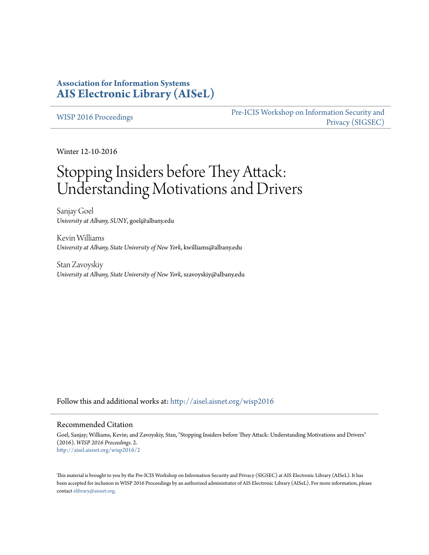### **Association for Information Systems [AIS Electronic Library \(AISeL\)](http://aisel.aisnet.org?utm_source=aisel.aisnet.org%2Fwisp2016%2F2&utm_medium=PDF&utm_campaign=PDFCoverPages)**

#### [WISP 2016 Proceedings](http://aisel.aisnet.org/wisp2016?utm_source=aisel.aisnet.org%2Fwisp2016%2F2&utm_medium=PDF&utm_campaign=PDFCoverPages)

[Pre-ICIS Workshop on Information Security and](http://aisel.aisnet.org/sigsec?utm_source=aisel.aisnet.org%2Fwisp2016%2F2&utm_medium=PDF&utm_campaign=PDFCoverPages) [Privacy \(SIGSEC\)](http://aisel.aisnet.org/sigsec?utm_source=aisel.aisnet.org%2Fwisp2016%2F2&utm_medium=PDF&utm_campaign=PDFCoverPages)

Winter 12-10-2016

# Stopping Insiders before They Attack: Understanding Motivations and Drivers

Sanjay Goel *University at Albany, SUNY*, goel@albany.edu

Kevin Williams *University at Albany, State University of New York*, kwilliams@albany.edu

Stan Zavoyskiy *University at Albany, State University of New York*, szavoyskiy@albany.edu

Follow this and additional works at: [http://aisel.aisnet.org/wisp2016](http://aisel.aisnet.org/wisp2016?utm_source=aisel.aisnet.org%2Fwisp2016%2F2&utm_medium=PDF&utm_campaign=PDFCoverPages)

#### Recommended Citation

Goel, Sanjay; Williams, Kevin; and Zavoyskiy, Stan, "Stopping Insiders before They Attack: Understanding Motivations and Drivers" (2016). *WISP 2016 Proceedings*. 2. [http://aisel.aisnet.org/wisp2016/2](http://aisel.aisnet.org/wisp2016/2?utm_source=aisel.aisnet.org%2Fwisp2016%2F2&utm_medium=PDF&utm_campaign=PDFCoverPages)

This material is brought to you by the Pre-ICIS Workshop on Information Security and Privacy (SIGSEC) at AIS Electronic Library (AISeL). It has been accepted for inclusion in WISP 2016 Proceedings by an authorized administrator of AIS Electronic Library (AISeL). For more information, please contact [elibrary@aisnet.org.](mailto:elibrary@aisnet.org%3E)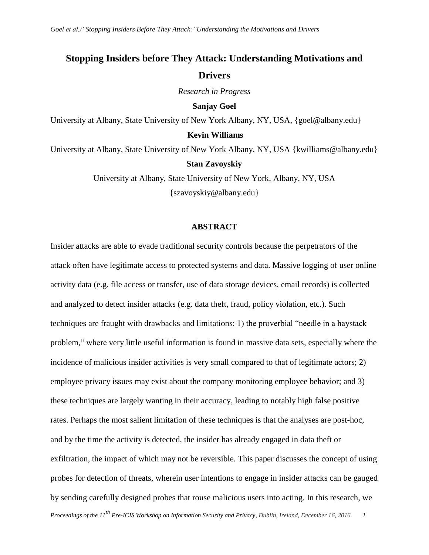## **Stopping Insiders before They Attack: Understanding Motivations and Drivers**

*Research in Progress*

**Sanjay Goel**

University at Albany, State University of New York Albany, NY, USA, {goel@albany.edu}

#### **Kevin Williams**

University at Albany, State University of New York Albany, NY, USA {kwilliams@albany.edu}

#### **Stan Zavoyskiy**

University at Albany, State University of New York, Albany, NY, USA {szavoyskiy@albany.edu}

#### **ABSTRACT**

*Proceedings of the 11th Pre-ICIS Workshop on Information Security and Privacy, Dublin, Ireland, December 16, 2016. 1* Insider attacks are able to evade traditional security controls because the perpetrators of the attack often have legitimate access to protected systems and data. Massive logging of user online activity data (e.g. file access or transfer, use of data storage devices, email records) is collected and analyzed to detect insider attacks (e.g. data theft, fraud, policy violation, etc.). Such techniques are fraught with drawbacks and limitations: 1) the proverbial "needle in a haystack problem," where very little useful information is found in massive data sets, especially where the incidence of malicious insider activities is very small compared to that of legitimate actors; 2) employee privacy issues may exist about the company monitoring employee behavior; and 3) these techniques are largely wanting in their accuracy, leading to notably high false positive rates. Perhaps the most salient limitation of these techniques is that the analyses are post-hoc, and by the time the activity is detected, the insider has already engaged in data theft or exfiltration, the impact of which may not be reversible. This paper discusses the concept of using probes for detection of threats, wherein user intentions to engage in insider attacks can be gauged by sending carefully designed probes that rouse malicious users into acting. In this research, we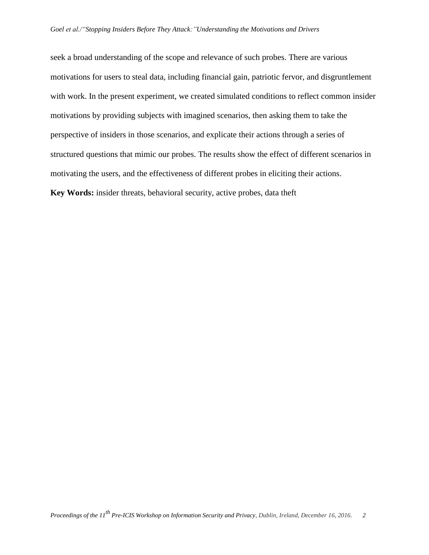seek a broad understanding of the scope and relevance of such probes. There are various motivations for users to steal data, including financial gain, patriotic fervor, and disgruntlement with work. In the present experiment, we created simulated conditions to reflect common insider motivations by providing subjects with imagined scenarios, then asking them to take the perspective of insiders in those scenarios, and explicate their actions through a series of structured questions that mimic our probes. The results show the effect of different scenarios in motivating the users, and the effectiveness of different probes in eliciting their actions. **Key Words:** insider threats, behavioral security, active probes, data theft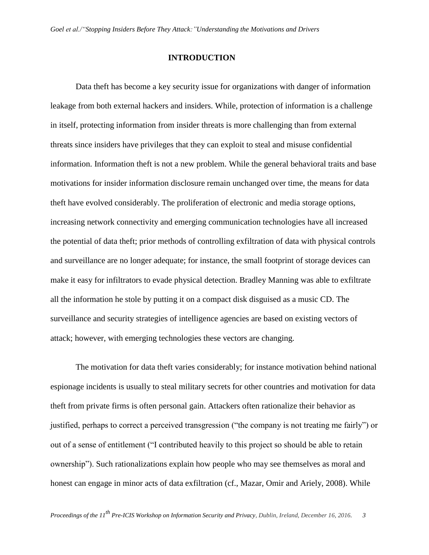#### **INTRODUCTION**

Data theft has become a key security issue for organizations with danger of information leakage from both external hackers and insiders. While, protection of information is a challenge in itself, protecting information from insider threats is more challenging than from external threats since insiders have privileges that they can exploit to steal and misuse confidential information. Information theft is not a new problem. While the general behavioral traits and base motivations for insider information disclosure remain unchanged over time, the means for data theft have evolved considerably. The proliferation of electronic and media storage options, increasing network connectivity and emerging communication technologies have all increased the potential of data theft; prior methods of controlling exfiltration of data with physical controls and surveillance are no longer adequate; for instance, the small footprint of storage devices can make it easy for infiltrators to evade physical detection. Bradley Manning was able to exfiltrate all the information he stole by putting it on a compact disk disguised as a music CD. The surveillance and security strategies of intelligence agencies are based on existing vectors of attack; however, with emerging technologies these vectors are changing.

The motivation for data theft varies considerably; for instance motivation behind national espionage incidents is usually to steal military secrets for other countries and motivation for data theft from private firms is often personal gain. Attackers often rationalize their behavior as justified, perhaps to correct a perceived transgression ("the company is not treating me fairly") or out of a sense of entitlement ("I contributed heavily to this project so should be able to retain ownership"). Such rationalizations explain how people who may see themselves as moral and honest can engage in minor acts of data exfiltration (cf., Mazar, Omir and Ariely, 2008). While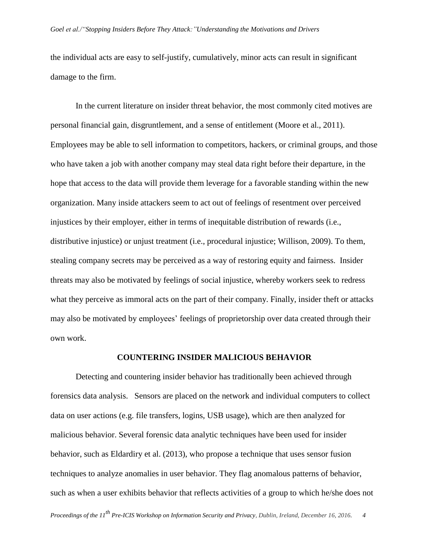the individual acts are easy to self-justify, cumulatively, minor acts can result in significant damage to the firm.

In the current literature on insider threat behavior, the most commonly cited motives are personal financial gain, disgruntlement, and a sense of entitlement (Moore et al., 2011). Employees may be able to sell information to competitors, hackers, or criminal groups, and those who have taken a job with another company may steal data right before their departure, in the hope that access to the data will provide them leverage for a favorable standing within the new organization. Many inside attackers seem to act out of feelings of resentment over perceived injustices by their employer, either in terms of inequitable distribution of rewards (i.e., distributive injustice) or unjust treatment (i.e., procedural injustice; Willison, 2009). To them, stealing company secrets may be perceived as a way of restoring equity and fairness. Insider threats may also be motivated by feelings of social injustice, whereby workers seek to redress what they perceive as immoral acts on the part of their company. Finally, insider theft or attacks may also be motivated by employees' feelings of proprietorship over data created through their own work.

#### **COUNTERING INSIDER MALICIOUS BEHAVIOR**

Detecting and countering insider behavior has traditionally been achieved through forensics data analysis. Sensors are placed on the network and individual computers to collect data on user actions (e.g. file transfers, logins, USB usage), which are then analyzed for malicious behavior. Several forensic data analytic techniques have been used for insider behavior, such as Eldardiry et al. (2013), who propose a technique that uses sensor fusion techniques to analyze anomalies in user behavior. They flag anomalous patterns of behavior, such as when a user exhibits behavior that reflects activities of a group to which he/she does not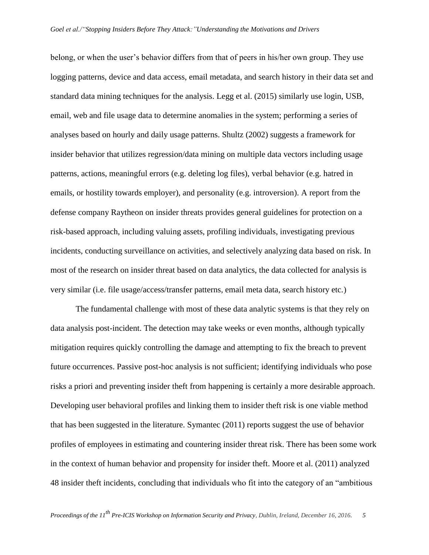belong, or when the user's behavior differs from that of peers in his/her own group. They use logging patterns, device and data access, email metadata, and search history in their data set and standard data mining techniques for the analysis. Legg et al. (2015) similarly use login, USB, email, web and file usage data to determine anomalies in the system; performing a series of analyses based on hourly and daily usage patterns. Shultz (2002) suggests a framework for insider behavior that utilizes regression/data mining on multiple data vectors including usage patterns, actions, meaningful errors (e.g. deleting log files), verbal behavior (e.g. hatred in emails, or hostility towards employer), and personality (e.g. introversion). A report from the defense company Raytheon on insider threats provides general guidelines for protection on a risk-based approach, including valuing assets, profiling individuals, investigating previous incidents, conducting surveillance on activities, and selectively analyzing data based on risk. In most of the research on insider threat based on data analytics, the data collected for analysis is very similar (i.e. file usage/access/transfer patterns, email meta data, search history etc.)

The fundamental challenge with most of these data analytic systems is that they rely on data analysis post-incident. The detection may take weeks or even months, although typically mitigation requires quickly controlling the damage and attempting to fix the breach to prevent future occurrences. Passive post-hoc analysis is not sufficient; identifying individuals who pose risks a priori and preventing insider theft from happening is certainly a more desirable approach. Developing user behavioral profiles and linking them to insider theft risk is one viable method that has been suggested in the literature. Symantec (2011) reports suggest the use of behavior profiles of employees in estimating and countering insider threat risk. There has been some work in the context of human behavior and propensity for insider theft. Moore et al. (2011) analyzed 48 insider theft incidents, concluding that individuals who fit into the category of an "ambitious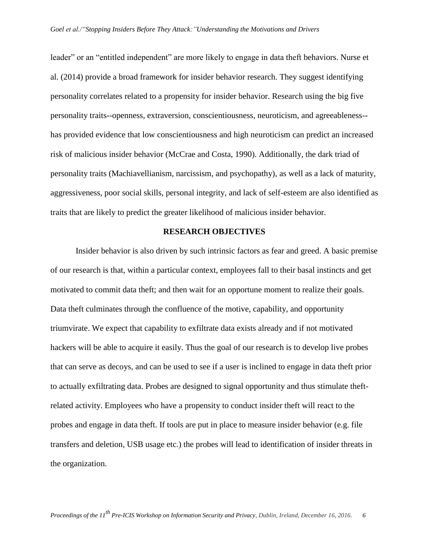leader" or an "entitled independent" are more likely to engage in data theft behaviors. Nurse et al. (2014) provide a broad framework for insider behavior research. They suggest identifying personality correlates related to a propensity for insider behavior. Research using the big five personality traits--openness, extraversion, conscientiousness, neuroticism, and agreeableness- has provided evidence that low conscientiousness and high neuroticism can predict an increased risk of malicious insider behavior (McCrae and Costa, 1990). Additionally, the dark triad of personality traits (Machiavellianism, narcissism, and psychopathy), as well as a lack of maturity, aggressiveness, poor social skills, personal integrity, and lack of self-esteem are also identified as traits that are likely to predict the greater likelihood of malicious insider behavior.

#### **RESEARCH OBJECTIVES**

Insider behavior is also driven by such intrinsic factors as fear and greed. A basic premise of our research is that, within a particular context, employees fall to their basal instincts and get motivated to commit data theft; and then wait for an opportune moment to realize their goals. Data theft culminates through the confluence of the motive, capability, and opportunity triumvirate. We expect that capability to exfiltrate data exists already and if not motivated hackers will be able to acquire it easily. Thus the goal of our research is to develop live probes that can serve as decoys, and can be used to see if a user is inclined to engage in data theft prior to actually exfiltrating data. Probes are designed to signal opportunity and thus stimulate theftrelated activity. Employees who have a propensity to conduct insider theft will react to the probes and engage in data theft. If tools are put in place to measure insider behavior (e.g. file transfers and deletion, USB usage etc.) the probes will lead to identification of insider threats in the organization.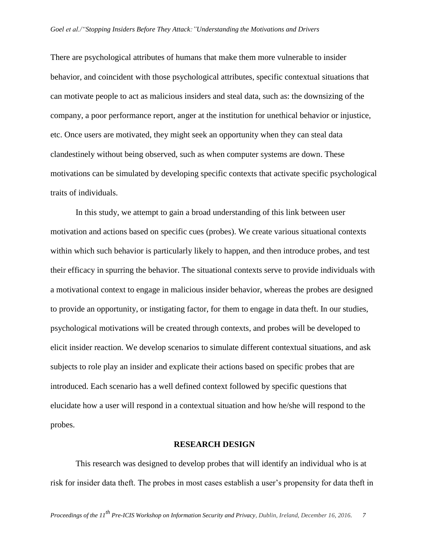There are psychological attributes of humans that make them more vulnerable to insider behavior, and coincident with those psychological attributes, specific contextual situations that can motivate people to act as malicious insiders and steal data, such as: the downsizing of the company, a poor performance report, anger at the institution for unethical behavior or injustice, etc. Once users are motivated, they might seek an opportunity when they can steal data clandestinely without being observed, such as when computer systems are down. These motivations can be simulated by developing specific contexts that activate specific psychological traits of individuals.

In this study, we attempt to gain a broad understanding of this link between user motivation and actions based on specific cues (probes). We create various situational contexts within which such behavior is particularly likely to happen, and then introduce probes, and test their efficacy in spurring the behavior. The situational contexts serve to provide individuals with a motivational context to engage in malicious insider behavior, whereas the probes are designed to provide an opportunity, or instigating factor, for them to engage in data theft. In our studies, psychological motivations will be created through contexts, and probes will be developed to elicit insider reaction. We develop scenarios to simulate different contextual situations, and ask subjects to role play an insider and explicate their actions based on specific probes that are introduced. Each scenario has a well defined context followed by specific questions that elucidate how a user will respond in a contextual situation and how he/she will respond to the probes.

#### **RESEARCH DESIGN**

This research was designed to develop probes that will identify an individual who is at risk for insider data theft. The probes in most cases establish a user's propensity for data theft in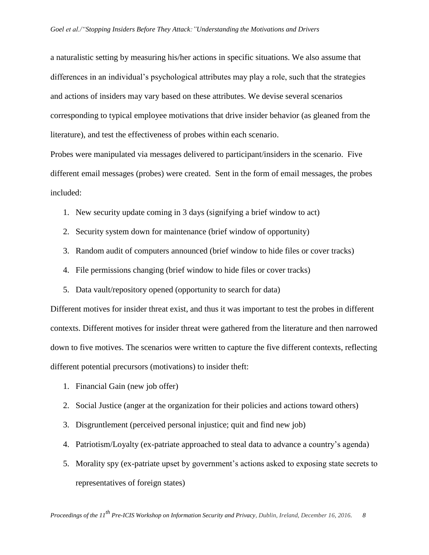a naturalistic setting by measuring his/her actions in specific situations. We also assume that differences in an individual's psychological attributes may play a role, such that the strategies and actions of insiders may vary based on these attributes. We devise several scenarios corresponding to typical employee motivations that drive insider behavior (as gleaned from the literature), and test the effectiveness of probes within each scenario.

Probes were manipulated via messages delivered to participant/insiders in the scenario. Five different email messages (probes) were created. Sent in the form of email messages, the probes included:

- 1. New security update coming in 3 days (signifying a brief window to act)
- 2. Security system down for maintenance (brief window of opportunity)
- 3. Random audit of computers announced (brief window to hide files or cover tracks)
- 4. File permissions changing (brief window to hide files or cover tracks)
- 5. Data vault/repository opened (opportunity to search for data)

Different motives for insider threat exist, and thus it was important to test the probes in different contexts. Different motives for insider threat were gathered from the literature and then narrowed down to five motives. The scenarios were written to capture the five different contexts, reflecting different potential precursors (motivations) to insider theft:

- 1. Financial Gain (new job offer)
- 2. Social Justice (anger at the organization for their policies and actions toward others)
- 3. Disgruntlement (perceived personal injustice; quit and find new job)
- 4. Patriotism/Loyalty (ex-patriate approached to steal data to advance a country's agenda)
- 5. Morality spy (ex-patriate upset by government's actions asked to exposing state secrets to representatives of foreign states)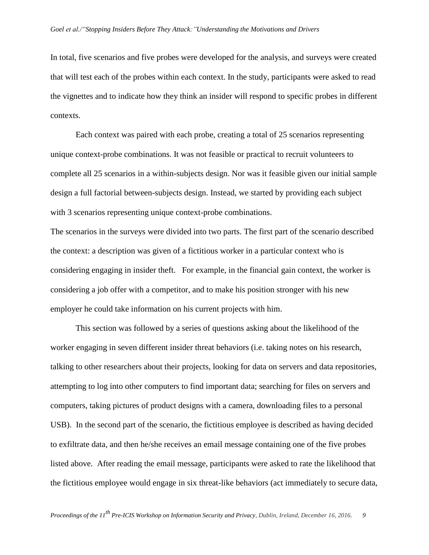In total, five scenarios and five probes were developed for the analysis, and surveys were created that will test each of the probes within each context. In the study, participants were asked to read the vignettes and to indicate how they think an insider will respond to specific probes in different contexts.

Each context was paired with each probe, creating a total of 25 scenarios representing unique context-probe combinations. It was not feasible or practical to recruit volunteers to complete all 25 scenarios in a within-subjects design. Nor was it feasible given our initial sample design a full factorial between-subjects design. Instead, we started by providing each subject with 3 scenarios representing unique context-probe combinations.

The scenarios in the surveys were divided into two parts. The first part of the scenario described the context: a description was given of a fictitious worker in a particular context who is considering engaging in insider theft. For example, in the financial gain context, the worker is considering a job offer with a competitor, and to make his position stronger with his new employer he could take information on his current projects with him.

This section was followed by a series of questions asking about the likelihood of the worker engaging in seven different insider threat behaviors (i.e. taking notes on his research, talking to other researchers about their projects, looking for data on servers and data repositories, attempting to log into other computers to find important data; searching for files on servers and computers, taking pictures of product designs with a camera, downloading files to a personal USB). In the second part of the scenario, the fictitious employee is described as having decided to exfiltrate data, and then he/she receives an email message containing one of the five probes listed above. After reading the email message, participants were asked to rate the likelihood that the fictitious employee would engage in six threat-like behaviors (act immediately to secure data,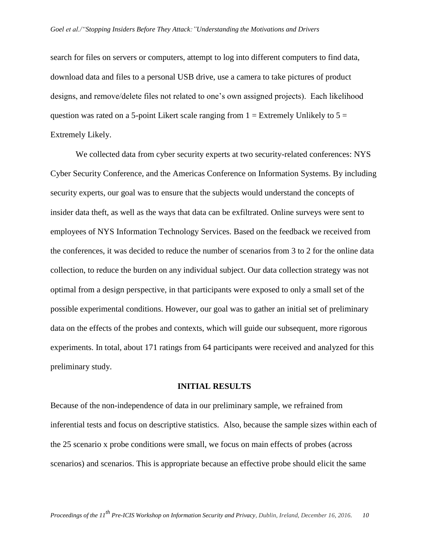search for files on servers or computers, attempt to log into different computers to find data, download data and files to a personal USB drive, use a camera to take pictures of product designs, and remove/delete files not related to one's own assigned projects). Each likelihood question was rated on a 5-point Likert scale ranging from  $1 =$  Extremely Unlikely to  $5 =$ Extremely Likely.

We collected data from cyber security experts at two security-related conferences: NYS Cyber Security Conference, and the Americas Conference on Information Systems. By including security experts, our goal was to ensure that the subjects would understand the concepts of insider data theft, as well as the ways that data can be exfiltrated. Online surveys were sent to employees of NYS Information Technology Services. Based on the feedback we received from the conferences, it was decided to reduce the number of scenarios from 3 to 2 for the online data collection, to reduce the burden on any individual subject. Our data collection strategy was not optimal from a design perspective, in that participants were exposed to only a small set of the possible experimental conditions. However, our goal was to gather an initial set of preliminary data on the effects of the probes and contexts, which will guide our subsequent, more rigorous experiments. In total, about 171 ratings from 64 participants were received and analyzed for this preliminary study.

#### **INITIAL RESULTS**

Because of the non-independence of data in our preliminary sample, we refrained from inferential tests and focus on descriptive statistics. Also, because the sample sizes within each of the 25 scenario x probe conditions were small, we focus on main effects of probes (across scenarios) and scenarios. This is appropriate because an effective probe should elicit the same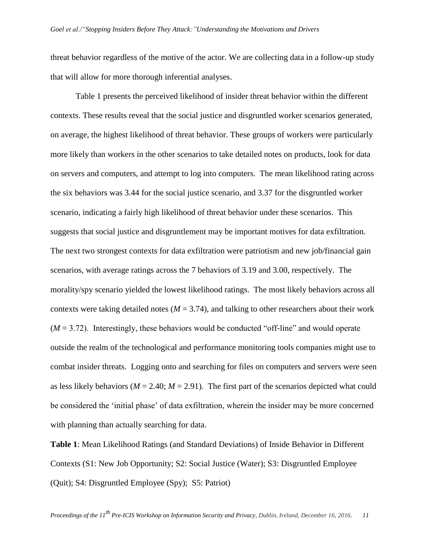threat behavior regardless of the motive of the actor. We are collecting data in a follow-up study that will allow for more thorough inferential analyses.

Table 1 presents the perceived likelihood of insider threat behavior within the different contexts. These results reveal that the social justice and disgruntled worker scenarios generated, on average, the highest likelihood of threat behavior. These groups of workers were particularly more likely than workers in the other scenarios to take detailed notes on products, look for data on servers and computers, and attempt to log into computers. The mean likelihood rating across the six behaviors was 3.44 for the social justice scenario, and 3.37 for the disgruntled worker scenario, indicating a fairly high likelihood of threat behavior under these scenarios. This suggests that social justice and disgruntlement may be important motives for data exfiltration. The next two strongest contexts for data exfiltration were patriotism and new job/financial gain scenarios, with average ratings across the 7 behaviors of 3.19 and 3.00, respectively. The morality/spy scenario yielded the lowest likelihood ratings. The most likely behaviors across all contexts were taking detailed notes  $(M = 3.74)$ , and talking to other researchers about their work  $(M = 3.72)$ . Interestingly, these behaviors would be conducted "off-line" and would operate outside the realm of the technological and performance monitoring tools companies might use to combat insider threats. Logging onto and searching for files on computers and servers were seen as less likely behaviors ( $M = 2.40$ ;  $M = 2.91$ ). The first part of the scenarios depicted what could be considered the 'initial phase' of data exfiltration, wherein the insider may be more concerned with planning than actually searching for data.

**Table 1**: Mean Likelihood Ratings (and Standard Deviations) of Inside Behavior in Different Contexts (S1: New Job Opportunity; S2: Social Justice (Water); S3: Disgruntled Employee (Quit); S4: Disgruntled Employee (Spy); S5: Patriot)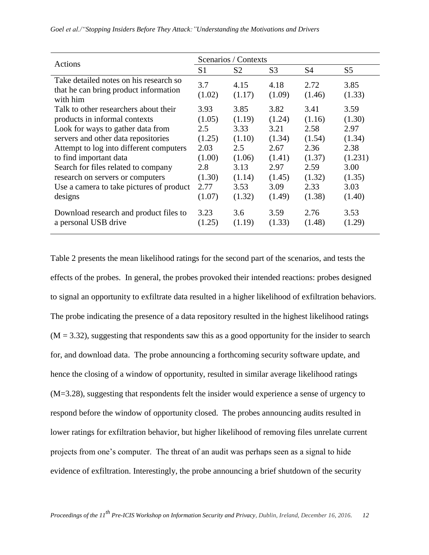| Actions                                                                                                                                                                                                                                                                                                                                                   | Scenarios / Contexts                                                                 |                                                                                       |                                                                                        |                                                                                        |                                                                                         |  |
|-----------------------------------------------------------------------------------------------------------------------------------------------------------------------------------------------------------------------------------------------------------------------------------------------------------------------------------------------------------|--------------------------------------------------------------------------------------|---------------------------------------------------------------------------------------|----------------------------------------------------------------------------------------|----------------------------------------------------------------------------------------|-----------------------------------------------------------------------------------------|--|
|                                                                                                                                                                                                                                                                                                                                                           | S <sub>1</sub>                                                                       | S <sub>2</sub>                                                                        | S <sub>3</sub>                                                                         | S4                                                                                     | S <sub>5</sub>                                                                          |  |
| Take detailed notes on his research so<br>that he can bring product information<br>with him                                                                                                                                                                                                                                                               | 3.7<br>(1.02)                                                                        | 4.15<br>(1.17)                                                                        | 4.18<br>(1.09)                                                                         | 2.72<br>(1.46)                                                                         | 3.85<br>(1.33)                                                                          |  |
| Talk to other researchers about their<br>products in informal contexts<br>Look for ways to gather data from<br>servers and other data repositories<br>Attempt to log into different computers<br>to find important data<br>Search for files related to company<br>research on servers or computers<br>Use a camera to take pictures of product<br>designs | 3.93<br>(1.05)<br>2.5<br>(1.25)<br>2.03<br>(1.00)<br>2.8<br>(1.30)<br>2.77<br>(1.07) | 3.85<br>(1.19)<br>3.33<br>(1.10)<br>2.5<br>(1.06)<br>3.13<br>(1.14)<br>3.53<br>(1.32) | 3.82<br>(1.24)<br>3.21<br>(1.34)<br>2.67<br>(1.41)<br>2.97<br>(1.45)<br>3.09<br>(1.49) | 3.41<br>(1.16)<br>2.58<br>(1.54)<br>2.36<br>(1.37)<br>2.59<br>(1.32)<br>2.33<br>(1.38) | 3.59<br>(1.30)<br>2.97<br>(1.34)<br>2.38<br>(1.231)<br>3.00<br>(1.35)<br>3.03<br>(1.40) |  |
| Download research and product files to<br>a personal USB drive                                                                                                                                                                                                                                                                                            | 3.23<br>(1.25)                                                                       | 3.6<br>(1.19)                                                                         | 3.59<br>(1.33)                                                                         | 2.76<br>(1.48)                                                                         | 3.53<br>(1.29)                                                                          |  |

Table 2 presents the mean likelihood ratings for the second part of the scenarios, and tests the effects of the probes. In general, the probes provoked their intended reactions: probes designed to signal an opportunity to exfiltrate data resulted in a higher likelihood of exfiltration behaviors. The probe indicating the presence of a data repository resulted in the highest likelihood ratings  $(M = 3.32)$ , suggesting that respondents saw this as a good opportunity for the insider to search for, and download data. The probe announcing a forthcoming security software update, and hence the closing of a window of opportunity, resulted in similar average likelihood ratings (M=3.28), suggesting that respondents felt the insider would experience a sense of urgency to respond before the window of opportunity closed. The probes announcing audits resulted in lower ratings for exfiltration behavior, but higher likelihood of removing files unrelate current projects from one's computer. The threat of an audit was perhaps seen as a signal to hide evidence of exfiltration. Interestingly, the probe announcing a brief shutdown of the security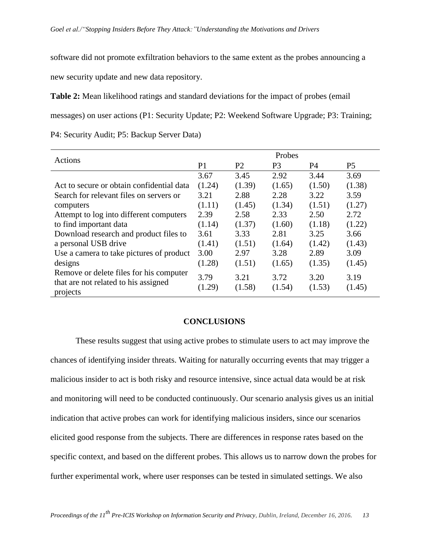software did not promote exfiltration behaviors to the same extent as the probes announcing a new security update and new data repository.

**Table 2:** Mean likelihood ratings and standard deviations for the impact of probes (email messages) on user actions (P1: Security Update; P2: Weekend Software Upgrade; P3: Training; P4: Security Audit; P5: Backup Server Data)

| Actions                                                                                     | Probes         |                |                |                |                |  |
|---------------------------------------------------------------------------------------------|----------------|----------------|----------------|----------------|----------------|--|
|                                                                                             | P <sub>1</sub> | P <sub>2</sub> | P3             | P4             | P5             |  |
|                                                                                             | 3.67           | 3.45           | 2.92           | 3.44           | 3.69           |  |
| Act to secure or obtain confidential data                                                   | (1.24)         | (1.39)         | (1.65)         | (1.50)         | (1.38)         |  |
| Search for relevant files on servers or                                                     | 3.21           | 2.88           | 2.28           | 3.22           | 3.59           |  |
| computers                                                                                   | (1.11)         | (1.45)         | (1.34)         | (1.51)         | (1.27)         |  |
| Attempt to log into different computers                                                     | 2.39           | 2.58           | 2.33           | 2.50           | 2.72           |  |
| to find important data                                                                      | (1.14)         | (1.37)         | (1.60)         | (1.18)         | (1.22)         |  |
| Download research and product files to                                                      | 3.61           | 3.33           | 2.81           | 3.25           | 3.66           |  |
| a personal USB drive                                                                        | (1.41)         | (1.51)         | (1.64)         | (1.42)         | (1.43)         |  |
| Use a camera to take pictures of product                                                    | 3.00           | 2.97           | 3.28           | 2.89           | 3.09           |  |
| designs                                                                                     | (1.28)         | (1.51)         | (1.65)         | (1.35)         | (1.45)         |  |
| Remove or delete files for his computer<br>that are not related to his assigned<br>projects | 3.79<br>(1.29) | 3.21<br>(1.58) | 3.72<br>(1.54) | 3.20<br>(1.53) | 3.19<br>(1.45) |  |

#### **CONCLUSIONS**

These results suggest that using active probes to stimulate users to act may improve the chances of identifying insider threats. Waiting for naturally occurring events that may trigger a malicious insider to act is both risky and resource intensive, since actual data would be at risk and monitoring will need to be conducted continuously. Our scenario analysis gives us an initial indication that active probes can work for identifying malicious insiders, since our scenarios elicited good response from the subjects. There are differences in response rates based on the specific context, and based on the different probes. This allows us to narrow down the probes for further experimental work, where user responses can be tested in simulated settings. We also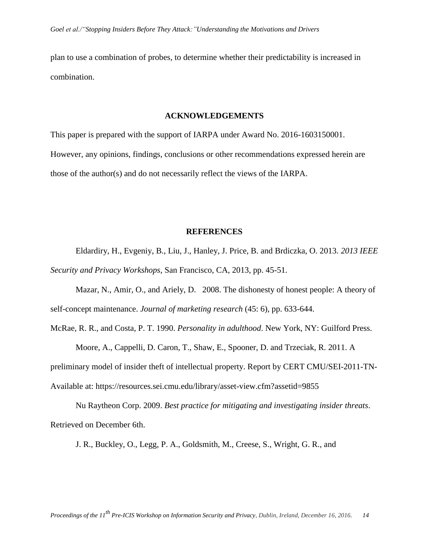plan to use a combination of probes, to determine whether their predictability is increased in combination.

#### **ACKNOWLEDGEMENTS**

This paper is prepared with the support of IARPA under Award No. 2016-1603150001. However, any opinions, findings, conclusions or other recommendations expressed herein are those of the author(s) and do not necessarily reflect the views of the IARPA.

#### **REFERENCES**

Eldardiry, H., Evgeniy, B., Liu, J., Hanley, J. Price, B. and Brdiczka, O. 2013. *2013 IEEE Security and Privacy Workshops*, San Francisco, CA, 2013, pp. 45-51.

Mazar, N., Amir, O., and Ariely, D. 2008. The dishonesty of honest people: A theory of self-concept maintenance. *Journal of marketing research* (45: 6), pp. 633-644.

McRae, R. R., and Costa, P. T. 1990. *Personality in adulthood*. New York, NY: Guilford Press.

Moore, A., Cappelli, D. Caron, T., Shaw, E., Spooner, D. and Trzeciak, R. 2011. A preliminary model of insider theft of intellectual property. Report by CERT CMU/SEI-2011-TN-Available at: https://resources.sei.cmu.edu/library/asset-view.cfm?assetid=9855

Nu Raytheon Corp. 2009. *Best practice for mitigating and investigating insider threats*. Retrieved on December 6th.

J. R., Buckley, O., Legg, P. A., Goldsmith, M., Creese, S., Wright, G. R., and